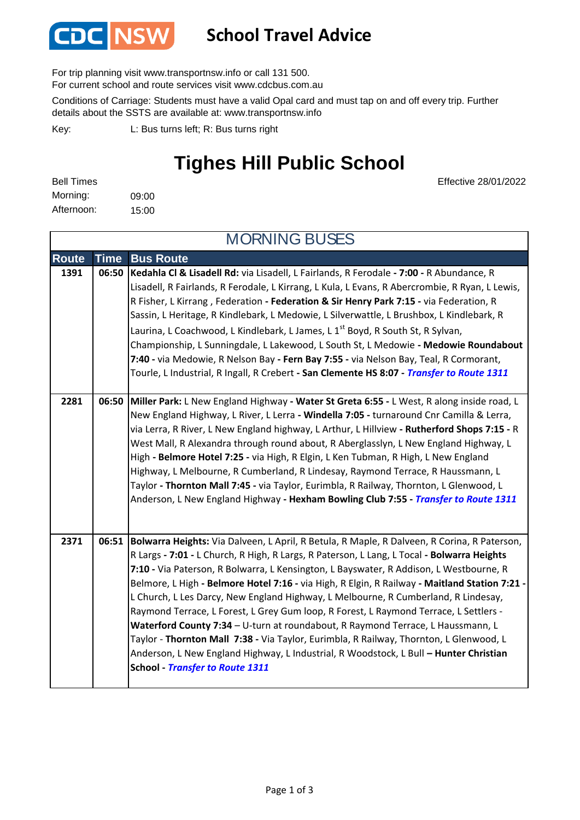

#### **School Travel Advice**

For trip planning visit www.transportnsw.info or call 131 500.

For current school and route services visit www.cdcbus.com.au

Conditions of Carriage: Students must have a valid Opal card and must tap on and off every trip. Further details about the SSTS are available at: www.transportnsw.info

L: Bus turns left; R: Bus turns right Key:

## **Tighes Hill Public School**

Effective 28/01/2022

| <b>Bell Times</b> |       |
|-------------------|-------|
| Morning:          | 09:00 |
| Afternoon:        | 15:00 |

**Route Time Bus Route 1391 06:50 Kedahla Cl & Lisadell Rd:** via Lisadell, L Fairlands, R Ferodale **- 7:00 -** R Abundance, R Lisadell, R Fairlands, R Ferodale, L Kirrang, L Kula, L Evans, R Abercrombie, R Ryan, L Lewis, R Fisher, L Kirrang , Federation **- Federation & Sir Henry Park 7:15 -** via Federation, R Sassin, L Heritage, R Kindlebark, L Medowie, L Silverwattle, L Brushbox, L Kindlebark, R Laurina, L Coachwood, L Kindlebark, L James, L  $1^{st}$  Boyd, R South St, R Sylvan, Championship, L Sunningdale, L Lakewood, L South St, L Medowie **- Medowie Roundabout 7:40 -** via Medowie, R Nelson Bay **- Fern Bay 7:55 -** via Nelson Bay, Teal, R Cormorant, Tourle, L Industrial, R Ingall, R Crebert **- San Clemente HS 8:07 -** *Transfer to Route 1311* **2281 06:50 Miller Park:** L New England Highway **- Water St Greta 6:55 -** L West, R along inside road, L New England Highway, L River, L Lerra **- Windella 7:05 -** turnaround Cnr Camilla & Lerra, via Lerra, R River, L New England highway, L Arthur, L Hillview **- Rutherford Shops 7:15 -** R West Mall, R Alexandra through round about, R Aberglasslyn, L New England Highway, L High **- Belmore Hotel 7:25 -** via High, R Elgin, L Ken Tubman, R High, L New England Highway, L Melbourne, R Cumberland, R Lindesay, Raymond Terrace, R Haussmann, L Taylor **- Thornton Mall 7:45 -** via Taylor, Eurimbla, R Railway, Thornton, L Glenwood, L Anderson, L New England Highway **- Hexham Bowling Club 7:55 -** *Transfer to Route 1311* **2371 06:51 Bolwarra Heights:** Via Dalveen, L April, R Betula, R Maple, R Dalveen, R Corina, R Paterson, R Largs **- 7:01 -** L Church, R High, R Largs, R Paterson, L Lang, L Tocal **- Bolwarra Heights 7:10 -** Via Paterson, R Bolwarra, L Kensington, L Bayswater, R Addison, L Westbourne, R Belmore, L High **- Belmore Hotel 7:16 -** via High, R Elgin, R Railway **- Maitland Station 7:21 -**  L Church, L Les Darcy, New England Highway, L Melbourne, R Cumberland, R Lindesay, Raymond Terrace, L Forest, L Grey Gum loop, R Forest, L Raymond Terrace, L Settlers - **Waterford County 7:34** – U-turn at roundabout, R Raymond Terrace, L Haussmann, L Taylor - **Thornton Mall 7:38 -** Via Taylor, Eurimbla, R Railway, Thornton, L Glenwood, L Anderson, L New England Highway, L Industrial, R Woodstock, L Bull **– Hunter Christian School -** *Transfer to Route 1311* MORNING BUSES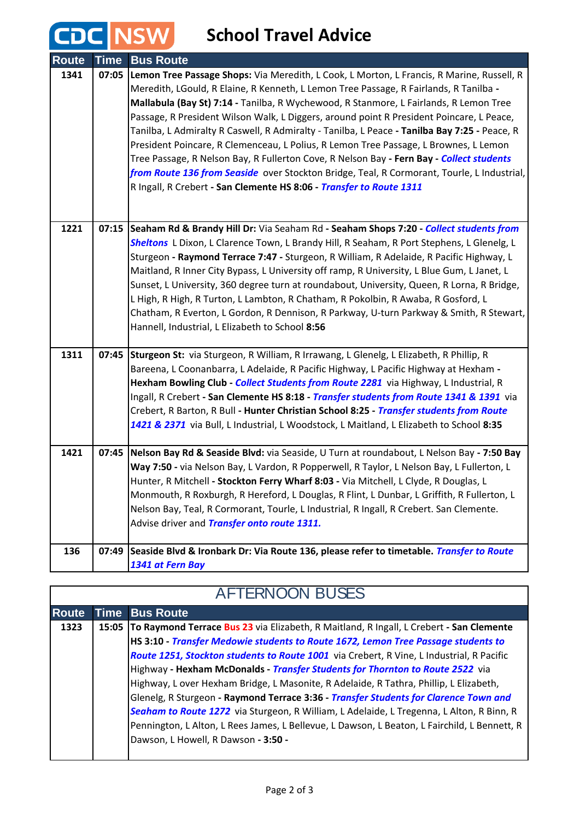### **School Travel Advice**

**CDC NSW** 

| <b>Route</b> | <b>Time</b> | <b>Bus Route</b>                                                                                 |
|--------------|-------------|--------------------------------------------------------------------------------------------------|
| 1341         | 07:05       | Lemon Tree Passage Shops: Via Meredith, L Cook, L Morton, L Francis, R Marine, Russell, R        |
|              |             | Meredith, LGould, R Elaine, R Kenneth, L Lemon Tree Passage, R Fairlands, R Tanilba -            |
|              |             | Mallabula (Bay St) 7:14 - Tanilba, R Wychewood, R Stanmore, L Fairlands, R Lemon Tree            |
|              |             | Passage, R President Wilson Walk, L Diggers, around point R President Poincare, L Peace,         |
|              |             | Tanilba, L Admiralty R Caswell, R Admiralty - Tanilba, L Peace - Tanilba Bay 7:25 - Peace, R     |
|              |             | President Poincare, R Clemenceau, L Polius, R Lemon Tree Passage, L Brownes, L Lemon             |
|              |             | Tree Passage, R Nelson Bay, R Fullerton Cove, R Nelson Bay - Fern Bay - Collect students         |
|              |             | from Route 136 from Seaside over Stockton Bridge, Teal, R Cormorant, Tourle, L Industrial,       |
|              |             | R Ingall, R Crebert - San Clemente HS 8:06 - Transfer to Route 1311                              |
|              |             |                                                                                                  |
|              |             |                                                                                                  |
| 1221         | 07:15       | Seaham Rd & Brandy Hill Dr: Via Seaham Rd - Seaham Shops 7:20 - Collect students from            |
|              |             | Sheltons L Dixon, L Clarence Town, L Brandy Hill, R Seaham, R Port Stephens, L Glenelg, L        |
|              |             | Sturgeon - Raymond Terrace 7:47 - Sturgeon, R William, R Adelaide, R Pacific Highway, L          |
|              |             | Maitland, R Inner City Bypass, L University off ramp, R University, L Blue Gum, L Janet, L       |
|              |             | Sunset, L University, 360 degree turn at roundabout, University, Queen, R Lorna, R Bridge,       |
|              |             | L High, R High, R Turton, L Lambton, R Chatham, R Pokolbin, R Awaba, R Gosford, L                |
|              |             | Chatham, R Everton, L Gordon, R Dennison, R Parkway, U-turn Parkway & Smith, R Stewart,          |
|              |             | Hannell, Industrial, L Elizabeth to School 8:56                                                  |
| 1311         | 07:45       | Sturgeon St: via Sturgeon, R William, R Irrawang, L Glenelg, L Elizabeth, R Phillip, R           |
|              |             | Bareena, L Coonanbarra, L Adelaide, R Pacific Highway, L Pacific Highway at Hexham -             |
|              |             | Hexham Bowling Club - Collect Students from Route 2281 via Highway, L Industrial, R              |
|              |             | Ingall, R Crebert - San Clemente HS 8:18 - Transfer students from Route 1341 & 1391 via          |
|              |             | Crebert, R Barton, R Bull - Hunter Christian School 8:25 - Transfer students from Route          |
|              |             | 1421 & 2371 via Bull, L Industrial, L Woodstock, L Maitland, L Elizabeth to School 8:35          |
|              |             |                                                                                                  |
| 1421         |             | 07:45   Nelson Bay Rd & Seaside Blvd: via Seaside, U Turn at roundabout, L Nelson Bay - 7:50 Bay |
|              |             | Way 7:50 - via Nelson Bay, L Vardon, R Popperwell, R Taylor, L Nelson Bay, L Fullerton, L        |
|              |             | Hunter, R Mitchell - Stockton Ferry Wharf 8:03 - Via Mitchell, L Clyde, R Douglas, L             |
|              |             | Monmouth, R Roxburgh, R Hereford, L Douglas, R Flint, L Dunbar, L Griffith, R Fullerton, L       |
|              |             | Nelson Bay, Teal, R Cormorant, Tourle, L Industrial, R Ingall, R Crebert. San Clemente.          |
|              |             | Advise driver and <i>Transfer onto route 1311.</i>                                               |
|              |             |                                                                                                  |
| 136          | 07:49       | Seaside Blvd & Ironbark Dr: Via Route 136, please refer to timetable. Transfer to Route          |
|              |             | 1341 at Fern Bay                                                                                 |

| <b>AFTERNOON BUSES</b> |  |                                                                                               |
|------------------------|--|-----------------------------------------------------------------------------------------------|
| <b>Route</b>           |  | <b>Time Bus Route</b>                                                                         |
| 1323                   |  | 15:05 To Raymond Terrace Bus 23 via Elizabeth, R Maitland, R Ingall, L Crebert - San Clemente |
|                        |  | HS 3:10 - Transfer Medowie students to Route 1672, Lemon Tree Passage students to             |
|                        |  | Route 1251, Stockton students to Route 1001 via Crebert, R Vine, L Industrial, R Pacific      |
|                        |  | Highway - Hexham McDonalds - Transfer Students for Thornton to Route 2522 via                 |
|                        |  | Highway, L over Hexham Bridge, L Masonite, R Adelaide, R Tathra, Phillip, L Elizabeth,        |
|                        |  | Glenelg, R Sturgeon - Raymond Terrace 3:36 - Transfer Students for Clarence Town and          |
|                        |  | Seaham to Route 1272 via Sturgeon, R William, L Adelaide, L Tregenna, L Alton, R Binn, R      |
|                        |  | Pennington, L Alton, L Rees James, L Bellevue, L Dawson, L Beaton, L Fairchild, L Bennett, R  |
|                        |  | Dawson, L Howell, R Dawson - 3:50 -                                                           |
|                        |  |                                                                                               |

## AFTERNOON BUSES